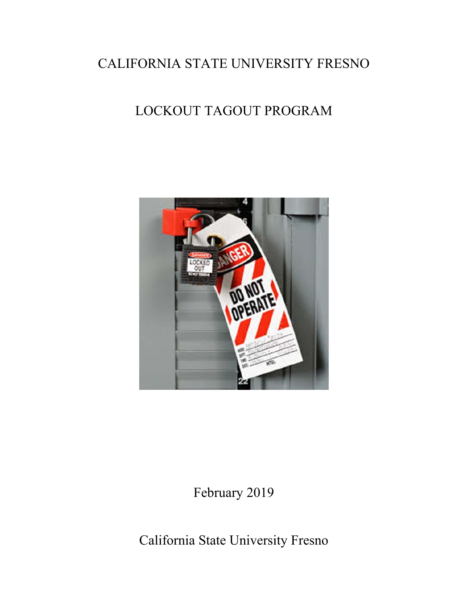## CALIFORNIA STATE UNIVERSITY FRESNO

## LOCKOUT TAGOUT PROGRAM



February 2019

California State University Fresno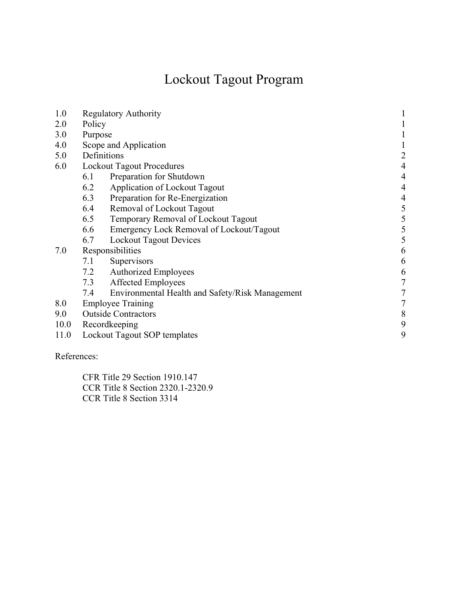# Lockout Tagout Program

| 1.0  | <b>Regulatory Authority</b><br>1                       |                                     |                |  |  |
|------|--------------------------------------------------------|-------------------------------------|----------------|--|--|
| 2.0  | Policy                                                 |                                     |                |  |  |
| 3.0  | Purpose                                                |                                     |                |  |  |
| 4.0  | Scope and Application                                  |                                     |                |  |  |
| 5.0  | Definitions<br>2                                       |                                     |                |  |  |
| 6.0  | <b>Lockout Tagout Procedures</b>                       |                                     |                |  |  |
|      | Preparation for Shutdown<br>6.1                        |                                     |                |  |  |
|      | 6.2<br>Application of Lockout Tagout                   |                                     | 4              |  |  |
|      | 6.3<br>Preparation for Re-Energization                 |                                     | $\overline{4}$ |  |  |
|      | 6.4<br>Removal of Lockout Tagout                       |                                     | 5              |  |  |
|      | 6.5                                                    | Temporary Removal of Lockout Tagout |                |  |  |
|      | 6.6<br>Emergency Lock Removal of Lockout/Tagout        |                                     | 5              |  |  |
|      | <b>Lockout Tagout Devices</b><br>6.7                   |                                     | 5              |  |  |
| 7.0  | Responsibilities                                       |                                     | 6              |  |  |
|      | 7.1<br>Supervisors                                     |                                     | 6              |  |  |
|      | <b>Authorized Employees</b><br>7.2                     |                                     | 6              |  |  |
|      | 7.3<br><b>Affected Employees</b>                       |                                     | $\overline{7}$ |  |  |
|      | 7.4<br>Environmental Health and Safety/Risk Management |                                     | $\tau$         |  |  |
| 8.0  | <b>Employee Training</b>                               |                                     | 7              |  |  |
| 9.0  | <b>Outside Contractors</b>                             |                                     | 8              |  |  |
| 10.0 | 9<br>Recordkeeping                                     |                                     |                |  |  |
| 11.0 | 9<br>Lockout Tagout SOP templates                      |                                     |                |  |  |
|      |                                                        |                                     |                |  |  |

References:

 CFR Title 29 Section 1910.147 CCR Title 8 Section 2320.1-2320.9 CCR Title 8 Section 3314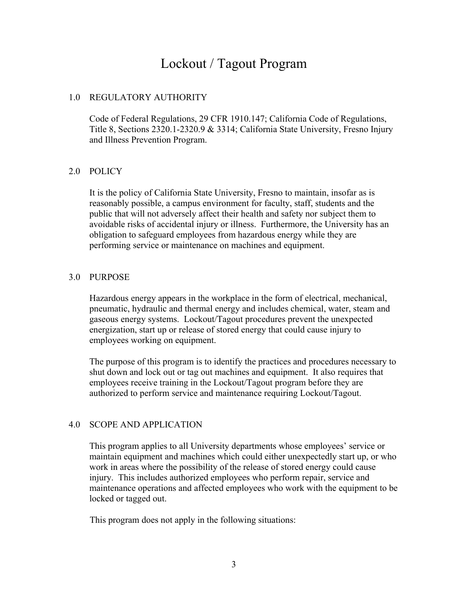## Lockout / Tagout Program

#### 1.0 REGULATORY AUTHORITY

Code of Federal Regulations, 29 CFR 1910.147; California Code of Regulations, Title 8, Sections 2320.1-2320.9 & 3314; California State University, Fresno Injury and Illness Prevention Program.

#### 2.0 POLICY

It is the policy of California State University, Fresno to maintain, insofar as is reasonably possible, a campus environment for faculty, staff, students and the public that will not adversely affect their health and safety nor subject them to avoidable risks of accidental injury or illness. Furthermore, the University has an obligation to safeguard employees from hazardous energy while they are performing service or maintenance on machines and equipment.

#### 3.0 PURPOSE

Hazardous energy appears in the workplace in the form of electrical, mechanical, pneumatic, hydraulic and thermal energy and includes chemical, water, steam and gaseous energy systems. Lockout/Tagout procedures prevent the unexpected energization, start up or release of stored energy that could cause injury to employees working on equipment.

The purpose of this program is to identify the practices and procedures necessary to shut down and lock out or tag out machines and equipment. It also requires that employees receive training in the Lockout/Tagout program before they are authorized to perform service and maintenance requiring Lockout/Tagout.

#### 4.0 SCOPE AND APPLICATION

This program applies to all University departments whose employees' service or maintain equipment and machines which could either unexpectedly start up, or who work in areas where the possibility of the release of stored energy could cause injury. This includes authorized employees who perform repair, service and maintenance operations and affected employees who work with the equipment to be locked or tagged out.

This program does not apply in the following situations: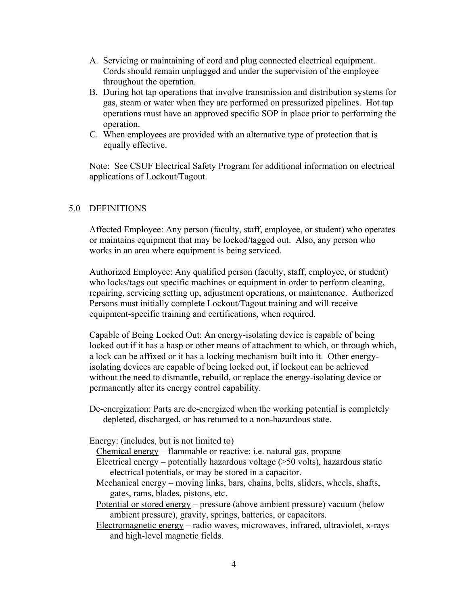- A. Servicing or maintaining of cord and plug connected electrical equipment. Cords should remain unplugged and under the supervision of the employee throughout the operation.
- B. During hot tap operations that involve transmission and distribution systems for gas, steam or water when they are performed on pressurized pipelines. Hot tap operations must have an approved specific SOP in place prior to performing the operation.
- C. When employees are provided with an alternative type of protection that is equally effective.

Note: See CSUF Electrical Safety Program for additional information on electrical applications of Lockout/Tagout.

#### 5.0 DEFINITIONS

Affected Employee: Any person (faculty, staff, employee, or student) who operates or maintains equipment that may be locked/tagged out. Also, any person who works in an area where equipment is being serviced.

Authorized Employee: Any qualified person (faculty, staff, employee, or student) who locks/tags out specific machines or equipment in order to perform cleaning, repairing, servicing setting up, adjustment operations, or maintenance. Authorized Persons must initially complete Lockout/Tagout training and will receive equipment-specific training and certifications, when required.

Capable of Being Locked Out: An energy-isolating device is capable of being locked out if it has a hasp or other means of attachment to which, or through which, a lock can be affixed or it has a locking mechanism built into it. Other energyisolating devices are capable of being locked out, if lockout can be achieved without the need to dismantle, rebuild, or replace the energy-isolating device or permanently alter its energy control capability.

De-energization: Parts are de-energized when the working potential is completely depleted, discharged, or has returned to a non-hazardous state.

- Energy: (includes, but is not limited to)
	- Chemical energy flammable or reactive: i.e. natural gas, propane
	- Electrical energy potentially hazardous voltage (>50 volts), hazardous static electrical potentials, or may be stored in a capacitor.
	- Mechanical energy moving links, bars, chains, belts, sliders, wheels, shafts, gates, rams, blades, pistons, etc.

Potential or stored energy – pressure (above ambient pressure) vacuum (below ambient pressure), gravity, springs, batteries, or capacitors.

Electromagnetic energy – radio waves, microwaves, infrared, ultraviolet, x-rays and high-level magnetic fields.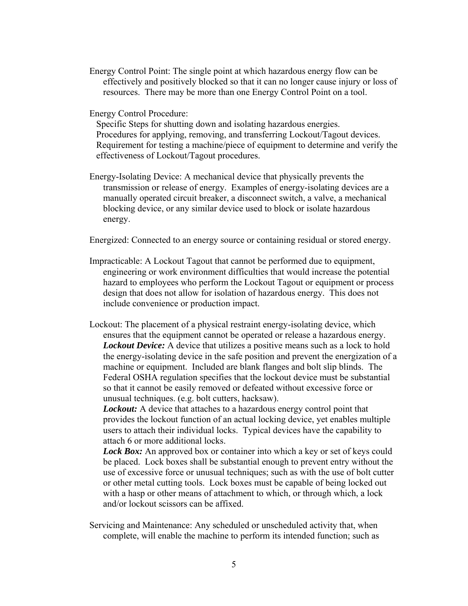Energy Control Point: The single point at which hazardous energy flow can be effectively and positively blocked so that it can no longer cause injury or loss of resources. There may be more than one Energy Control Point on a tool.

Energy Control Procedure:

Specific Steps for shutting down and isolating hazardous energies. Procedures for applying, removing, and transferring Lockout/Tagout devices. Requirement for testing a machine/piece of equipment to determine and verify the effectiveness of Lockout/Tagout procedures.

Energy-Isolating Device: A mechanical device that physically prevents the transmission or release of energy. Examples of energy-isolating devices are a manually operated circuit breaker, a disconnect switch, a valve, a mechanical blocking device, or any similar device used to block or isolate hazardous energy.

Energized: Connected to an energy source or containing residual or stored energy.

- Impracticable: A Lockout Tagout that cannot be performed due to equipment, engineering or work environment difficulties that would increase the potential hazard to employees who perform the Lockout Tagout or equipment or process design that does not allow for isolation of hazardous energy. This does not include convenience or production impact.
- Lockout: The placement of a physical restraint energy-isolating device, which ensures that the equipment cannot be operated or release a hazardous energy. *Lockout Device:* A device that utilizes a positive means such as a lock to hold the energy-isolating device in the safe position and prevent the energization of a machine or equipment. Included are blank flanges and bolt slip blinds. The Federal OSHA regulation specifies that the lockout device must be substantial so that it cannot be easily removed or defeated without excessive force or unusual techniques. (e.g. bolt cutters, hacksaw).

*Lockout:* A device that attaches to a hazardous energy control point that provides the lockout function of an actual locking device, yet enables multiple users to attach their individual locks. Typical devices have the capability to attach 6 or more additional locks.

*Lock Box:* An approved box or container into which a key or set of keys could be placed. Lock boxes shall be substantial enough to prevent entry without the use of excessive force or unusual techniques; such as with the use of bolt cutter or other metal cutting tools. Lock boxes must be capable of being locked out with a hasp or other means of attachment to which, or through which, a lock and/or lockout scissors can be affixed.

Servicing and Maintenance: Any scheduled or unscheduled activity that, when complete, will enable the machine to perform its intended function; such as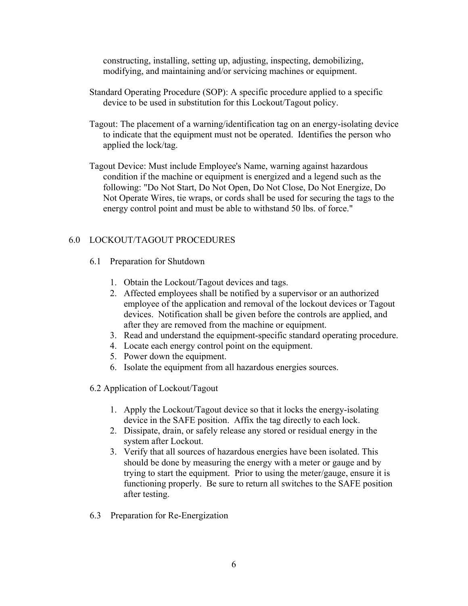constructing, installing, setting up, adjusting, inspecting, demobilizing, modifying, and maintaining and/or servicing machines or equipment.

- Standard Operating Procedure (SOP): A specific procedure applied to a specific device to be used in substitution for this Lockout/Tagout policy.
- Tagout: The placement of a warning/identification tag on an energy-isolating device to indicate that the equipment must not be operated. Identifies the person who applied the lock/tag.
- Tagout Device: Must include Employee's Name, warning against hazardous condition if the machine or equipment is energized and a legend such as the following: "Do Not Start, Do Not Open, Do Not Close, Do Not Energize, Do Not Operate Wires, tie wraps, or cords shall be used for securing the tags to the energy control point and must be able to withstand 50 lbs. of force."

#### 6.0 LOCKOUT/TAGOUT PROCEDURES

- 6.1 Preparation for Shutdown
	- 1. Obtain the Lockout/Tagout devices and tags.
	- 2. Affected employees shall be notified by a supervisor or an authorized employee of the application and removal of the lockout devices or Tagout devices. Notification shall be given before the controls are applied, and after they are removed from the machine or equipment.
	- 3. Read and understand the equipment-specific standard operating procedure.
	- 4. Locate each energy control point on the equipment.
	- 5. Power down the equipment.
	- 6. Isolate the equipment from all hazardous energies sources.
- 6.2 Application of Lockout/Tagout
	- 1. Apply the Lockout/Tagout device so that it locks the energy-isolating device in the SAFE position. Affix the tag directly to each lock.
	- 2. Dissipate, drain, or safely release any stored or residual energy in the system after Lockout.
	- 3. Verify that all sources of hazardous energies have been isolated. This should be done by measuring the energy with a meter or gauge and by trying to start the equipment. Prior to using the meter/gauge, ensure it is functioning properly. Be sure to return all switches to the SAFE position after testing.
- 6.3 Preparation for Re-Energization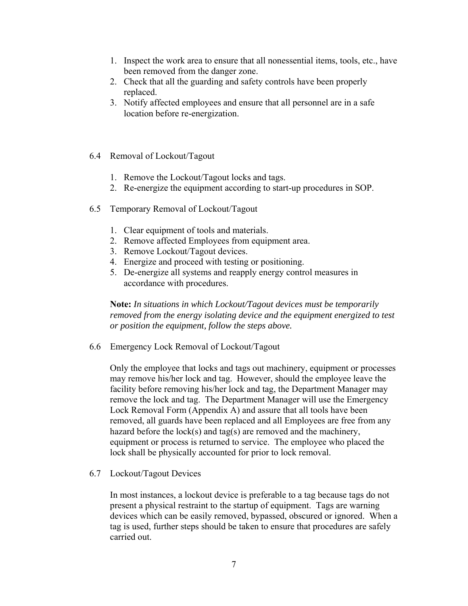- 1. Inspect the work area to ensure that all nonessential items, tools, etc., have been removed from the danger zone.
- 2. Check that all the guarding and safety controls have been properly replaced.
- 3. Notify affected employees and ensure that all personnel are in a safe location before re-energization.
- 6.4 Removal of Lockout/Tagout
	- 1. Remove the Lockout/Tagout locks and tags.
	- 2. Re-energize the equipment according to start-up procedures in SOP.
- 6.5 Temporary Removal of Lockout/Tagout
	- 1. Clear equipment of tools and materials.
	- 2. Remove affected Employees from equipment area.
	- 3. Remove Lockout/Tagout devices.
	- 4. Energize and proceed with testing or positioning.
	- 5. De-energize all systems and reapply energy control measures in accordance with procedures.

**Note:** *In situations in which Lockout/Tagout devices must be temporarily removed from the energy isolating device and the equipment energized to test or position the equipment, follow the steps above.* 

6.6 Emergency Lock Removal of Lockout/Tagout

Only the employee that locks and tags out machinery, equipment or processes may remove his/her lock and tag. However, should the employee leave the facility before removing his/her lock and tag, the Department Manager may remove the lock and tag. The Department Manager will use the Emergency Lock Removal Form (Appendix A) and assure that all tools have been removed, all guards have been replaced and all Employees are free from any hazard before the lock(s) and tag(s) are removed and the machinery, equipment or process is returned to service. The employee who placed the lock shall be physically accounted for prior to lock removal.

6.7 Lockout/Tagout Devices

In most instances, a lockout device is preferable to a tag because tags do not present a physical restraint to the startup of equipment. Tags are warning devices which can be easily removed, bypassed, obscured or ignored. When a tag is used, further steps should be taken to ensure that procedures are safely carried out.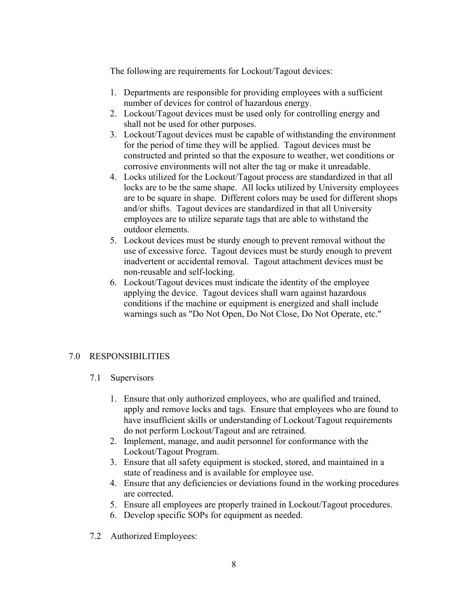The following are requirements for Lockout/Tagout devices:

- 1. Departments are responsible for providing employees with a sufficient number of devices for control of hazardous energy.
- 2. Lockout/Tagout devices must be used only for controlling energy and shall not be used for other purposes.
- 3. Lockout/Tagout devices must be capable of withstanding the environment for the period of time they will be applied. Tagout devices must be constructed and printed so that the exposure to weather, wet conditions or corrosive environments will not alter the tag or make it unreadable.
- 4. Locks utilized for the Lockout/Tagout process are standardized in that all locks are to be the same shape. All locks utilized by University employees are to be square in shape. Different colors may be used for different shops and/or shifts. Tagout devices are standardized in that all University employees are to utilize separate tags that are able to withstand the outdoor elements.
- 5. Lockout devices must be sturdy enough to prevent removal without the use of excessive force. Tagout devices must be sturdy enough to prevent inadvertent or accidental removal. Tagout attachment devices must be non-reusable and self-locking.
- 6. Lockout/Tagout devices must indicate the identity of the employee applying the device. Tagout devices shall warn against hazardous conditions if the machine or equipment is energized and shall include warnings such as "Do Not Open, Do Not Close, Do Not Operate, etc."

#### 7.0 RESPONSIBILITIES

#### 7.1 Supervisors

- 1. Ensure that only authorized employees, who are qualified and trained, apply and remove locks and tags. Ensure that employees who are found to have insufficient skills or understanding of Lockout/Tagout requirements do not perform Lockout/Tagout and are retrained.
- 2. Implement, manage, and audit personnel for conformance with the Lockout/Tagout Program.
- 3. Ensure that all safety equipment is stocked, stored, and maintained in a state of readiness and is available for employee use.
- 4. Ensure that any deficiencies or deviations found in the working procedures are corrected.
- 5. Ensure all employees are properly trained in Lockout/Tagout procedures.
- 6. Develop specific SOPs for equipment as needed.
- 7.2 Authorized Employees: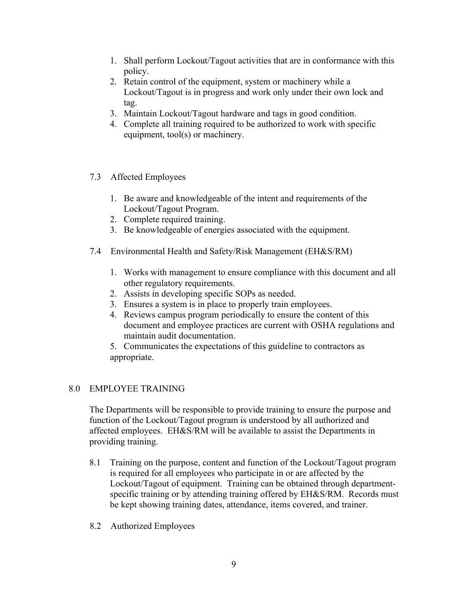- 1. Shall perform Lockout/Tagout activities that are in conformance with this policy.
- 2. Retain control of the equipment, system or machinery while a Lockout/Tagout is in progress and work only under their own lock and tag.
- 3. Maintain Lockout/Tagout hardware and tags in good condition.
- 4. Complete all training required to be authorized to work with specific equipment, tool(s) or machinery.
- 7.3 Affected Employees
	- 1. Be aware and knowledgeable of the intent and requirements of the Lockout/Tagout Program.
	- 2. Complete required training.
	- 3. Be knowledgeable of energies associated with the equipment.
- 7.4 Environmental Health and Safety/Risk Management (EH&S/RM)
	- 1. Works with management to ensure compliance with this document and all other regulatory requirements.
	- 2. Assists in developing specific SOPs as needed.
	- 3. Ensures a system is in place to properly train employees.
	- 4. Reviews campus program periodically to ensure the content of this document and employee practices are current with OSHA regulations and maintain audit documentation.
	- 5. Communicates the expectations of this guideline to contractors as appropriate.

#### 8.0 EMPLOYEE TRAINING

The Departments will be responsible to provide training to ensure the purpose and function of the Lockout/Tagout program is understood by all authorized and affected employees. EH&S/RM will be available to assist the Departments in providing training.

- 8.1 Training on the purpose, content and function of the Lockout/Tagout program is required for all employees who participate in or are affected by the Lockout/Tagout of equipment. Training can be obtained through departmentspecific training or by attending training offered by EH&S/RM. Records must be kept showing training dates, attendance, items covered, and trainer.
- 8.2 Authorized Employees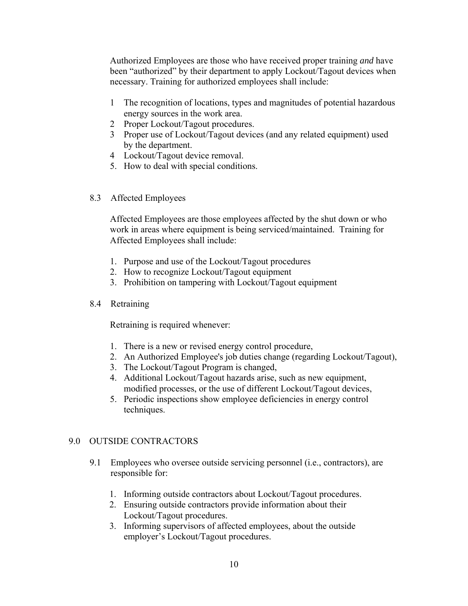Authorized Employees are those who have received proper training *and* have been "authorized" by their department to apply Lockout/Tagout devices when necessary. Training for authorized employees shall include:

- 1 The recognition of locations, types and magnitudes of potential hazardous energy sources in the work area.
- 2 Proper Lockout/Tagout procedures.
- 3 Proper use of Lockout/Tagout devices (and any related equipment) used by the department.
- 4 Lockout/Tagout device removal.
- 5. How to deal with special conditions.
- 8.3 Affected Employees

Affected Employees are those employees affected by the shut down or who work in areas where equipment is being serviced/maintained. Training for Affected Employees shall include:

- 1. Purpose and use of the Lockout/Tagout procedures
- 2. How to recognize Lockout/Tagout equipment
- 3. Prohibition on tampering with Lockout/Tagout equipment
- 8.4 Retraining

Retraining is required whenever:

- 1. There is a new or revised energy control procedure,
- 2. An Authorized Employee's job duties change (regarding Lockout/Tagout),
- 3. The Lockout/Tagout Program is changed,
- 4. Additional Lockout/Tagout hazards arise, such as new equipment, modified processes, or the use of different Lockout/Tagout devices,
- 5. Periodic inspections show employee deficiencies in energy control techniques.

#### 9.0 OUTSIDE CONTRACTORS

- 9.1 Employees who oversee outside servicing personnel (i.e., contractors), are responsible for:
	- 1. Informing outside contractors about Lockout/Tagout procedures.
	- 2. Ensuring outside contractors provide information about their Lockout/Tagout procedures.
	- 3. Informing supervisors of affected employees, about the outside employer's Lockout/Tagout procedures.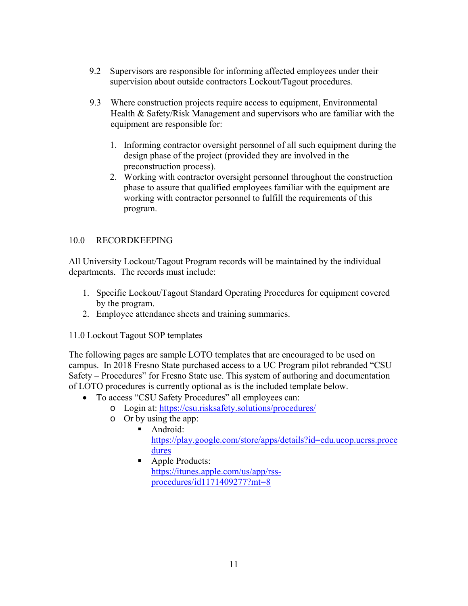- 9.2 Supervisors are responsible for informing affected employees under their supervision about outside contractors Lockout/Tagout procedures.
- 9.3 Where construction projects require access to equipment, Environmental Health & Safety/Risk Management and supervisors who are familiar with the equipment are responsible for:
	- 1. Informing contractor oversight personnel of all such equipment during the design phase of the project (provided they are involved in the preconstruction process).
	- 2. Working with contractor oversight personnel throughout the construction phase to assure that qualified employees familiar with the equipment are working with contractor personnel to fulfill the requirements of this program.

#### 10.0 RECORDKEEPING

All University Lockout/Tagout Program records will be maintained by the individual departments. The records must include:

- 1. Specific Lockout/Tagout Standard Operating Procedures for equipment covered by the program.
- 2. Employee attendance sheets and training summaries.
- 11.0 Lockout Tagout SOP templates

The following pages are sample LOTO templates that are encouraged to be used on campus. In 2018 Fresno State purchased access to a UC Program pilot rebranded "CSU Safety – Procedures" for Fresno State use. This system of authoring and documentation of LOTO procedures is currently optional as is the included template below.

- To access "CSU Safety Procedures" all employees can:
	- o Login at: https://csu.risksafety.solutions/procedures/
	- o Or by using the app:
		- **Android:** https://play.google.com/store/apps/details?id=edu.ucop.ucrss.proce dures
		- Apple Products: https://itunes.apple.com/us/app/rssprocedures/id1171409277?mt=8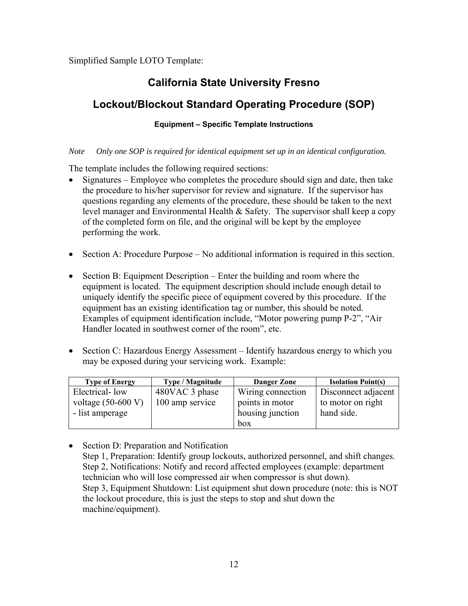Simplified Sample LOTO Template:

### **California State University Fresno**

### **Lockout/Blockout Standard Operating Procedure (SOP)**

#### **Equipment – Specific Template Instructions**

#### *Note Only one SOP is required for identical equipment set up in an identical configuration.*

The template includes the following required sections:

- Signatures Employee who completes the procedure should sign and date, then take the procedure to his/her supervisor for review and signature. If the supervisor has questions regarding any elements of the procedure, these should be taken to the next level manager and Environmental Health & Safety. The supervisor shall keep a copy of the completed form on file, and the original will be kept by the employee performing the work.
- Section A: Procedure Purpose No additional information is required in this section.
- Section B: Equipment Description Enter the building and room where the equipment is located. The equipment description should include enough detail to uniquely identify the specific piece of equipment covered by this procedure. If the equipment has an existing identification tag or number, this should be noted. Examples of equipment identification include, "Motor powering pump P-2", "Air Handler located in southwest corner of the room", etc.
- Section C: Hazardous Energy Assessment Identify hazardous energy to which you may be exposed during your servicing work. Example:

| <b>Type of Energy</b> | Type / Magnitude | <b>Danger Zone</b> | <b>Isolation Point(s)</b> |
|-----------------------|------------------|--------------------|---------------------------|
| Electrical-low        | 480VAC 3 phase   | Wiring connection  | Disconnect adjacent       |
| voltage $(50-600 V)$  | 100 amp service  | points in motor    | to motor on right         |
| - list amperage       |                  | housing junction   | hand side.                |
|                       |                  | box                |                           |

• Section D: Preparation and Notification Step 1, Preparation: Identify group lockouts, authorized personnel, and shift changes. Step 2, Notifications: Notify and record affected employees (example: department technician who will lose compressed air when compressor is shut down). Step 3, Equipment Shutdown: List equipment shut down procedure (note: this is NOT the lockout procedure, this is just the steps to stop and shut down the machine/equipment).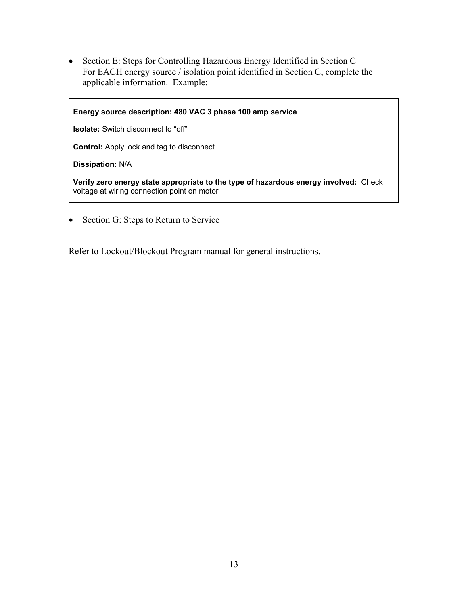Section E: Steps for Controlling Hazardous Energy Identified in Section C For EACH energy source / isolation point identified in Section C, complete the applicable information. Example:

**Energy source description: 480 VAC 3 phase 100 amp service Isolate:** Switch disconnect to "off" **Control:** Apply lock and tag to disconnect **Dissipation:** N/A **Verify zero energy state appropriate to the type of hazardous energy involved:** Check voltage at wiring connection point on motor

• Section G: Steps to Return to Service

Refer to Lockout/Blockout Program manual for general instructions.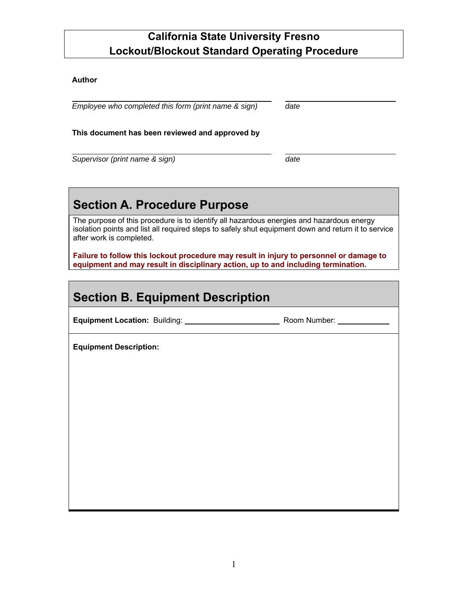#### **Author**

 $\overline{a}$ 

 $\overline{a}$ *Employee who completed this form (print name & sign) date* 

#### **This document has been reviewed and approved by**

*Supervisor (print name & sign) date* 

## **Section A. Procedure Purpose**

The purpose of this procedure is to identify all hazardous energies and hazardous energy isolation points and list all required steps to safely shut equipment down and return it to service after work is completed.

**Failure to follow this lockout procedure may result in injury to personnel or damage to equipment and may result in disciplinary action, up to and including termination.** 

## **Section B. Equipment Description**

**Equipment Location:** Building: Room Number:

**Equipment Description:**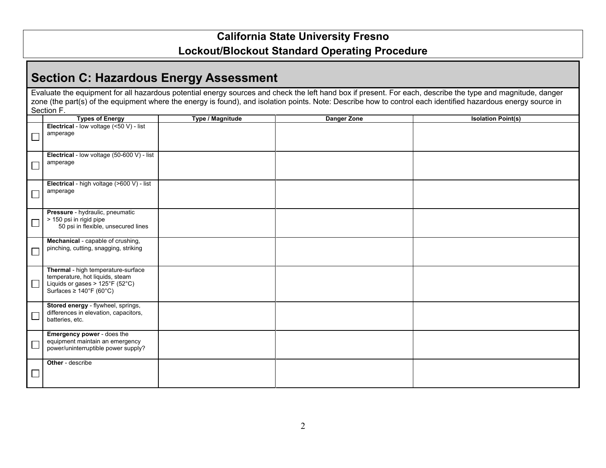## **Section C: Hazardous Energy Assessment**

Evaluate the equipment for all hazardous potential energy sources and check the left hand box if present. For each, describe the type and magnitude, danger zone (the part(s) of the equipment where the energy is found), and isolation points. Note: Describe how to control each identified hazardous energy source in Section F.

| Electrical - low voltage (<50 V) - list<br>amperage      |  |
|----------------------------------------------------------|--|
|                                                          |  |
|                                                          |  |
|                                                          |  |
| Electrical - low voltage (50-600 V) - list               |  |
| amperage                                                 |  |
|                                                          |  |
|                                                          |  |
| Electrical - high voltage (>600 V) - list                |  |
| amperage                                                 |  |
|                                                          |  |
| Pressure - hydraulic, pneumatic                          |  |
| > 150 psi in rigid pipe                                  |  |
| 50 psi in flexible, unsecured lines                      |  |
|                                                          |  |
| Mechanical - capable of crushing,                        |  |
| pinching, cutting, snagging, striking                    |  |
|                                                          |  |
| Thermal - high temperature-surface                       |  |
| temperature, hot liquids, steam                          |  |
| $\Box$<br>Liquids or gases > $125^{\circ}F(52^{\circ}C)$ |  |
| Surfaces $\geq 140^{\circ}$ F (60°C)                     |  |
|                                                          |  |
| Stored energy - flywheel, springs,                       |  |
| differences in elevation, capacitors,                    |  |
| batteries, etc.                                          |  |
| Emergency power - does the                               |  |
| equipment maintain an emergency                          |  |
| power/uninterruptible power supply?                      |  |
|                                                          |  |
| Other - describe                                         |  |
|                                                          |  |
|                                                          |  |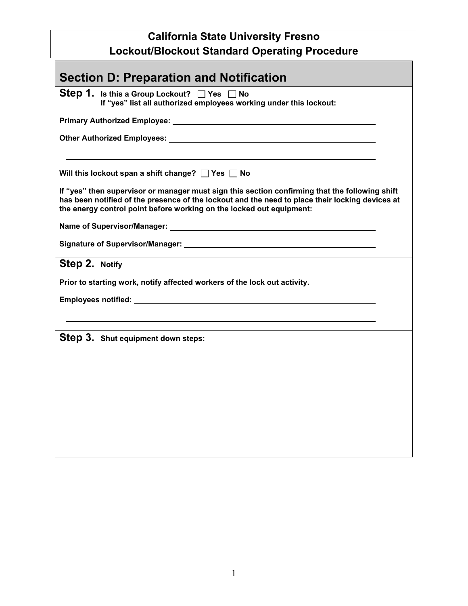| <b>Section D: Preparation and Notification</b>                                                                                                                                                                                                                            |  |  |  |  |
|---------------------------------------------------------------------------------------------------------------------------------------------------------------------------------------------------------------------------------------------------------------------------|--|--|--|--|
| Step 1. Is this a Group Lockout? $\Box$ Yes $\Box$ No<br>If "yes" list all authorized employees working under this lockout:                                                                                                                                               |  |  |  |  |
|                                                                                                                                                                                                                                                                           |  |  |  |  |
|                                                                                                                                                                                                                                                                           |  |  |  |  |
| Will this lockout span a shift change? $\Box$ Yes $\Box$ No                                                                                                                                                                                                               |  |  |  |  |
| If "yes" then supervisor or manager must sign this section confirming that the following shift<br>has been notified of the presence of the lockout and the need to place their locking devices at<br>the energy control point before working on the locked out equipment: |  |  |  |  |
|                                                                                                                                                                                                                                                                           |  |  |  |  |
| Signature of Supervisor/Manager: with a state of the state of the state of the state of the state of the state o                                                                                                                                                          |  |  |  |  |
| Step 2. Notify                                                                                                                                                                                                                                                            |  |  |  |  |
| Prior to starting work, notify affected workers of the lock out activity.                                                                                                                                                                                                 |  |  |  |  |
| Employees notified: <u>shipmen and the set of the set of the set of the set of the set of the set of the set of the set of the set of the set of the set of the set of the set of the set of the set of the set of the set of th</u>                                      |  |  |  |  |
|                                                                                                                                                                                                                                                                           |  |  |  |  |
| Step 3. Shut equipment down steps:                                                                                                                                                                                                                                        |  |  |  |  |
|                                                                                                                                                                                                                                                                           |  |  |  |  |
|                                                                                                                                                                                                                                                                           |  |  |  |  |
|                                                                                                                                                                                                                                                                           |  |  |  |  |
|                                                                                                                                                                                                                                                                           |  |  |  |  |
|                                                                                                                                                                                                                                                                           |  |  |  |  |
|                                                                                                                                                                                                                                                                           |  |  |  |  |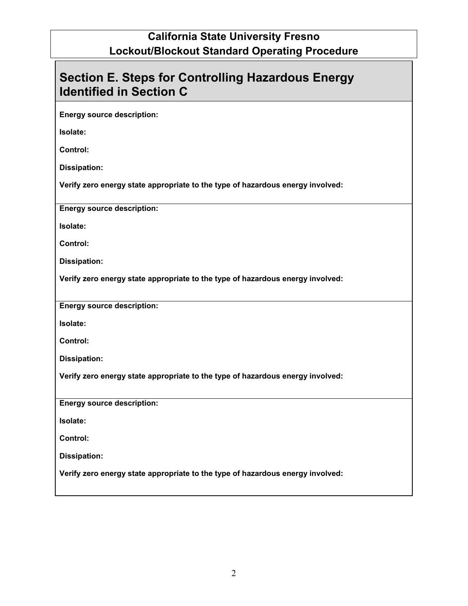| <b>Section E. Steps for Controlling Hazardous Energy</b><br><b>Identified in Section C</b> |  |  |  |
|--------------------------------------------------------------------------------------------|--|--|--|
| <b>Energy source description:</b>                                                          |  |  |  |
| Isolate:                                                                                   |  |  |  |
| <b>Control:</b>                                                                            |  |  |  |
| <b>Dissipation:</b>                                                                        |  |  |  |
| Verify zero energy state appropriate to the type of hazardous energy involved:             |  |  |  |
| <b>Energy source description:</b>                                                          |  |  |  |
| Isolate:                                                                                   |  |  |  |
| <b>Control:</b>                                                                            |  |  |  |
| Dissipation:                                                                               |  |  |  |
| Verify zero energy state appropriate to the type of hazardous energy involved:             |  |  |  |
| <b>Energy source description:</b>                                                          |  |  |  |
| Isolate:                                                                                   |  |  |  |
| <b>Control:</b>                                                                            |  |  |  |
| <b>Dissipation:</b>                                                                        |  |  |  |
| Verify zero energy state appropriate to the type of hazardous energy involved:             |  |  |  |
| <b>Energy source description:</b>                                                          |  |  |  |
| Isolate:                                                                                   |  |  |  |
| Control:                                                                                   |  |  |  |
| <b>Dissipation:</b>                                                                        |  |  |  |
| Verify zero energy state appropriate to the type of hazardous energy involved:             |  |  |  |
|                                                                                            |  |  |  |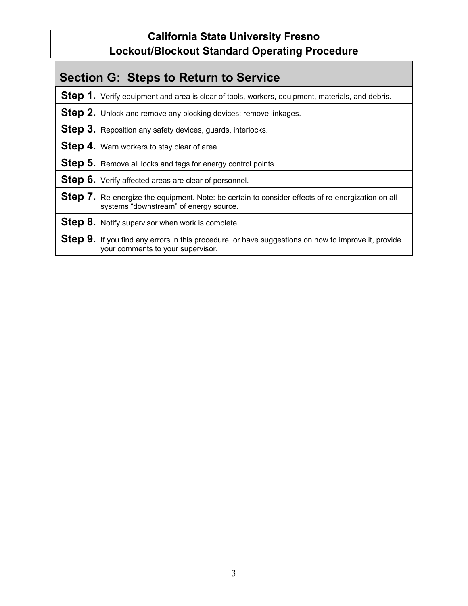## **Section G: Steps to Return to Service**

**Step 1.** Verify equipment and area is clear of tools, workers, equipment, materials, and debris.

- **Step 2.** Unlock and remove any blocking devices; remove linkages.
- **Step 3.** Reposition any safety devices, guards, interlocks.
- **Step 4.** Warn workers to stay clear of area.

**Step 5.** Remove all locks and tags for energy control points.

**Step 6.** Verify affected areas are clear of personnel.

- **Step 7.** Re-energize the equipment. Note: be certain to consider effects of re-energization on all systems "downstream" of energy source.
- **Step 8.** Notify supervisor when work is complete.
- **Step 9.** If you find any errors in this procedure, or have suggestions on how to improve it, provide your comments to your supervisor.